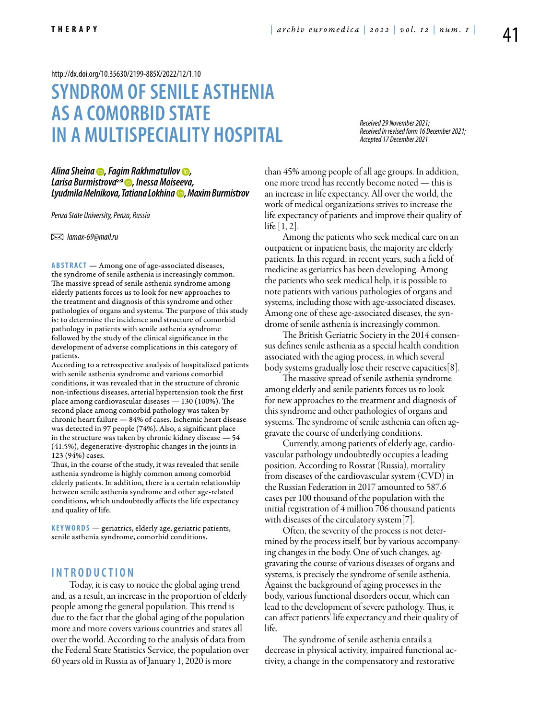<http://dx.doi.org/10.35630/2199-885X/2022/12/1.10>

# **SYNDROM OF SENILE ASTHENIA AS A COMORBID STATE IN A MULTISPECIALITY HOSPITAL**

*Received 29 November 2021; Received in revised form 16 December 2021; Accepted 17 December 2021*

*[Alina Sheina](https://orcid.org/0000-0002-9373-7268) , [Fagim Rakhmatullov](https://orcid.org/0000-0002-0253-6904) , [Larisa Burmistrova](https://orcid.org/0000-0002-6568-0305) , Inessa Moiseeva, Lyudmila Melnikova, [Tatiana Lokhina](https://orcid.org/0000-0002-9493-444X) , Maxim Burmistrov*

*Penza State University, Penza, Russia*

 *lamax-69@mail.ru* 

ABSTRACT — Among one of age-associated diseases, the syndrome of senile asthenia is increasingly common. The massive spread of senile asthenia syndrome among elderly patients forces us to look for new approaches to the treatment and diagnosis of this syndrome and other pathologies of organs and systems. The purpose of this study is: to determine the incidence and structure of comorbid pathology in patients with senile asthenia syndrome followed by the study of the clinical significance in the development of adverse complications in this category of patients.

According to a retrospective analysis of hospitalized patients with senile asthenia syndrome and various comorbid conditions, it was revealed that in the structure of chronic non-infectious diseases, arterial hypertension took the first place among cardiovascular diseases — 130 (100%). The second place among comorbid pathology was taken by chronic heart failure — 84% of cases. Ischemic heart disease was detected in 97 people (74%). Also, a significant place in the structure was taken by chronic kidney disease — 54 (41.5%), degenerative-dystrophic changes in the joints in 123 (94%) cases.

Thus, in the course of the study, it was revealed that senile asthenia syndrome is highly common among comorbid elderly patients. In addition, there is a certain relationship between senile asthenia syndrome and other age-related conditions, which undoubtedly affects the life expectancy and quality of life.

KEYWORDS — geriatrics, elderly age, geriatric patients, senile asthenia syndrome, comorbid conditions.

## **I n t r o d u ct i o n**

Today, it is easy to notice the global aging trend and, as a result, an increase in the proportion of elderly people among the general population. This trend is due to the fact that the global aging of the population more and more covers various countries and states all over the world. According to the analysis of data from the Federal State Statistics Service, the population over 60 years old in Russia as of January 1, 2020 is more

than 45% among people of all age groups. In addition, one more trend has recently become noted — this is an increase in life expectancy. All over the world, the work of medical organizations strives to increase the life expectancy of patients and improve their quality of  $\text{life}$   $|1, 2|$ .

Among the patients who seek medical care on an outpatient or inpatient basis, the majority are elderly patients. In this regard, in recent years, such a field of medicine as geriatrics has been developing. Among the patients who seek medical help, it is possible to note patients with various pathologies of organs and systems, including those with age-associated diseases. Among one of these age-associated diseases, the syndrome of senile asthenia is increasingly common.

The British Geriatric Society in the 2014 consensus defines senile asthenia as a special health condition associated with the aging process, in which several body systems gradually lose their reserve capacities[8].

The massive spread of senile asthenia syndrome among elderly and senile patients forces us to look for new approaches to the treatment and diagnosis of this syndrome and other pathologies of organs and systems. The syndrome of senile asthenia can often aggravate the course of underlying conditions.

Currently, among patients of elderly age, cardiovascular pathology undoubtedly occupies a leading position. According to Rosstat (Russia), mortality from diseases of the cardiovascular system (CVD) in the Russian Federation in 2017 amounted to 587.6 cases per 100 thousand of the population with the initial registration of 4 million 706 thousand patients with diseases of the circulatory system[7].

Often, the severity of the process is not determined by the process itself, but by various accompanying changes in the body. One of such changes, aggravating the course of various diseases of organs and systems, is precisely the syndrome of senile asthenia. Against the background of aging processes in the body, various functional disorders occur, which can lead to the development of severe pathology. Thus, it can affect patients' life expectancy and their quality of life.

The syndrome of senile asthenia entails a decrease in physical activity, impaired functional activity, a change in the compensatory and restorative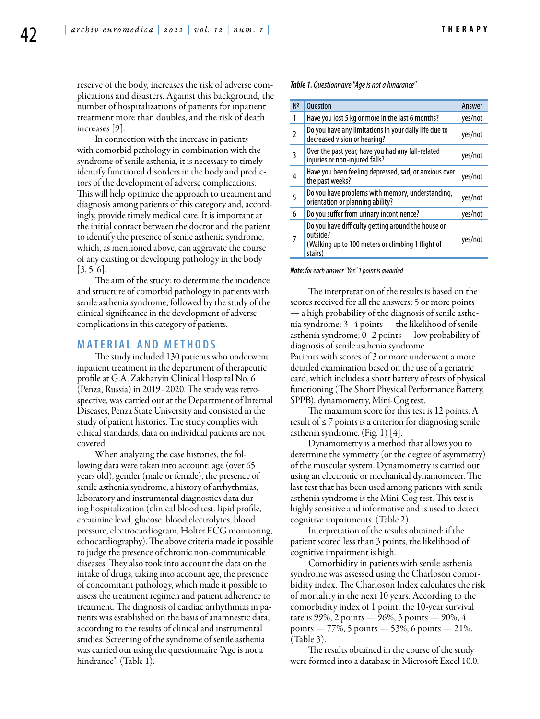**T h e r a p y**

reserve of the body, increases the risk of adverse complications and disasters. Against this background, the number of hospitalizations of patients for inpatient treatment more than doubles, and the risk of death increases [9].

In connection with the increase in patients with comorbid pathology in combination with the syndrome of senile asthenia, it is necessary to timely identify functional disorders in the body and predictors of the development of adverse complications. This will help optimize the approach to treatment and diagnosis among patients of this category and, accordingly, provide timely medical care. It is important at the initial contact between the doctor and the patient to identify the presence of senile asthenia syndrome, which, as mentioned above, can aggravate the course of any existing or developing pathology in the body  $[3, 5, 6]$ .

The aim of the study: to determine the incidence and structure of comorbid pathology in patients with senile asthenia syndrome, followed by the study of the clinical significance in the development of adverse complications in this category of patients.

### **MATERIAL AND METHODS**

The study included 130 patients who underwent inpatient treatment in the department of therapeutic profile at G.А. Zakharyin Clinical Hospital No. 6 (Penza, Russia) in 2019–2020. The study was retrospective, was carried out at the Department of Internal Diseases, Penza State University and consisted in the study of patient histories. The study complies with ethical standards, data on individual patients are not covered.

When analyzing the case histories, the following data were taken into account: age (over 65 years old), gender (male or female), the presence of senile asthenia syndrome, a history of arrhythmias, laboratory and instrumental diagnostics data during hospitalization (clinical blood test, lipid profile, creatinine level, glucose, blood electrolytes, blood pressure, electrocardiogram, Holter ECG monitoring, echocardiography). The above criteria made it possible to judge the presence of chronic non-communicable diseases. They also took into account the data on the intake of drugs, taking into account age, the presence of concomitant pathology, which made it possible to assess the treatment regimen and patient adherence to treatment. The diagnosis of cardiac arrhythmias in patients was established on the basis of anamnestic data, according to the results of clinical and instrumental studies. Screening of the syndrome of senile asthenia was carried out using the questionnaire "Age is not a hindrance". (Table 1).

*Table 1. Questionnaire "Age is not a hindrance"*

| N <sup>2</sup> | <b>Ouestion</b>                                                                                                                | Answer  |
|----------------|--------------------------------------------------------------------------------------------------------------------------------|---------|
| 1              | Have you lost 5 kg or more in the last 6 months?                                                                               | yes/not |
| 2              | Do you have any limitations in your daily life due to<br>decreased vision or hearing?                                          | yes/not |
| 3              | Over the past year, have you had any fall-related<br>injuries or non-injured falls?                                            | yes/not |
| 4              | Have you been feeling depressed, sad, or anxious over<br>the past weeks?                                                       | yes/not |
| 5              | Do you have problems with memory, understanding,<br>orientation or planning ability?                                           | yes/not |
| 6              | Do you suffer from urinary incontinence?                                                                                       | yes/not |
|                | Do you have difficulty getting around the house or<br>outside?<br>(Walking up to 100 meters or climbing 1 flight of<br>stairs) | yes/not |

*Note: for each answer "Yes" 1 point is awarded*

The interpretation of the results is based on the scores received for all the answers: 5 or more points — a high probability of the diagnosis of senile asthenia syndrome; 3–4 points — the likelihood of senile asthenia syndrome; 0–2 points — low probability of diagnosis of senile asthenia syndrome. Patients with scores of 3 or more underwent a more detailed examination based on the use of a geriatric card, which includes a short battery of tests of physical functioning (The Short Physical Performance Battery, SPPB), dynamometry, Mini-Cog test.

The maximum score for this test is 12 points. A result of ≤ 7 points is a criterion for diagnosing senile asthenia syndrome. (Fig. 1) [4].

Dynamometry is a method that allows you to determine the symmetry (or the degree of asymmetry) of the muscular system. Dynamometry is carried out using an electronic or mechanical dynamometer. The last test that has been used among patients with senile asthenia syndrome is the Mini-Cog test. This test is highly sensitive and informative and is used to detect cognitive impairments. (Table 2).

Interpretation of the results obtained: if the patient scored less than 3 points, the likelihood of cognitive impairment is high.

Comorbidity in patients with senile asthenia syndrome was assessed using the Charloson comorbidity index. The Charloson Index calculates the risk of mortality in the next 10 years. According to the comorbidity index of 1 point, the 10-year survival rate is 99%, 2 points — 96%, 3 points — 90%, 4 points — 77%, 5 points — 53%, 6 points — 21%. (Table 3).

The results obtained in the course of the study were formed into a database in Microsoft Excel 10.0.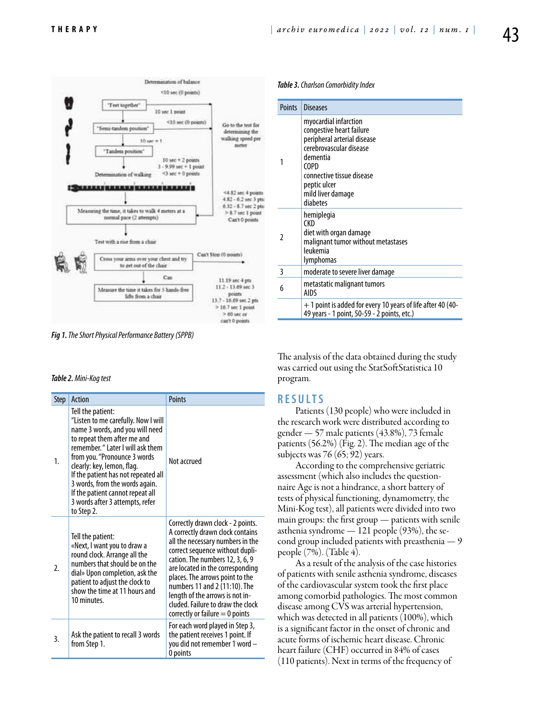

*Fig 1. The Short Physical Performance Battery (SPPB)*

|  | Table 2. Mini-Kog test |  |
|--|------------------------|--|
|  |                        |  |

| <b>Step</b> | Action                                                                                                                                                                                                                                                                                                                                                                                      | <b>Points</b>                                                                                                                                                                                                                                                                                                                                                                                        |
|-------------|---------------------------------------------------------------------------------------------------------------------------------------------------------------------------------------------------------------------------------------------------------------------------------------------------------------------------------------------------------------------------------------------|------------------------------------------------------------------------------------------------------------------------------------------------------------------------------------------------------------------------------------------------------------------------------------------------------------------------------------------------------------------------------------------------------|
| 1.          | Tell the patient:<br>"Listen to me carefully. Now I will<br>name 3 words, and you will need<br>to repeat them after me and<br>remember. " Later I will ask them<br>from you. "Pronounce 3 words<br>clearly: key, lemon, flag.<br>If the patient has not repeated all<br>3 words, from the words again.<br>If the patient cannot repeat all<br>3 words after 3 attempts, refer<br>to Step 2. | Not accrued                                                                                                                                                                                                                                                                                                                                                                                          |
| 2.          | Tell the patient:<br>«Next, I want you to draw a<br>round clock. Arrange all the<br>numbers that should be on the<br>dial» Upon completion, ask the<br>patient to adjust the clock to<br>show the time at 11 hours and<br>10 minutes.                                                                                                                                                       | Correctly drawn clock - 2 points.<br>A correctly drawn clock contains<br>all the necessary numbers in the<br>correct sequence without dupli-<br>cation. The numbers 12, 3, 6, 9<br>are located in the corresponding<br>places. The arrows point to the<br>numbers 11 and 2 (11:10). The<br>length of the arrows is not in-<br>cluded. Failure to draw the clock<br>correctly or failure $= 0$ points |
| 3.          | Ask the patient to recall 3 words<br>from Step 1.                                                                                                                                                                                                                                                                                                                                           | For each word played in Step 3,<br>the patient receives 1 point. If<br>you did not remember 1 word -<br>0 points                                                                                                                                                                                                                                                                                     |

#### *Table 3. Charlson Comorbidity Index*

| <b>Points</b> | Diseases                                                                                                                                                                                                      |  |
|---------------|---------------------------------------------------------------------------------------------------------------------------------------------------------------------------------------------------------------|--|
|               | myocardial infarction<br>congestive heart failure<br>peripheral arterial disease<br>cerebrovascular disease<br>dementia<br>COPD<br>connective tissue disease<br>peptic ulcer<br>mild liver damage<br>diabetes |  |
| 2             | hemiplegia<br>(KD<br>diet with organ damage<br>malignant tumor without metastases<br>leukemia<br>lymphomas                                                                                                    |  |
| 3             | moderate to severe liver damage                                                                                                                                                                               |  |
| 6             | metastatic malignant tumors<br>AIDS                                                                                                                                                                           |  |
|               | + 1 point is added for every 10 years of life after 40 (40-<br>49 years - 1 point, 50-59 - 2 points, etc.)                                                                                                    |  |

The analysis of the data obtained during the study was carried out using the StatSoftStatistica 10 program.

# **RESULTS**

Patients (130 people) who were included in the research work were distributed according to gender — 57 male patients (43.8%), 73 female patients (56.2%) (Fig. 2). The median age of the subjects was 76 (65; 92) years.

According to the comprehensive geriatric assessment (which also includes the questionnaire Age is not a hindrance, a short battery of tests of physical functioning, dynamometry, the Mini-Kog test), all patients were divided into two main groups: the first group — patients with senile asthenia syndrome — 121 people (93%), the second group included patients with preasthenia — 9 people (7%). (Table 4).

As a result of the analysis of the case histories of patients with senile asthenia syndrome, diseases of the cardiovascular system took the first place among comorbid pathologies. The most common disease among CVS was arterial hypertension, which was detected in all patients (100%), which is a significant factor in the onset of chronic and acute forms of ischemic heart disease. Chronic heart failure (CHF) occurred in 84% of cases (110 patients). Next in terms of the frequency of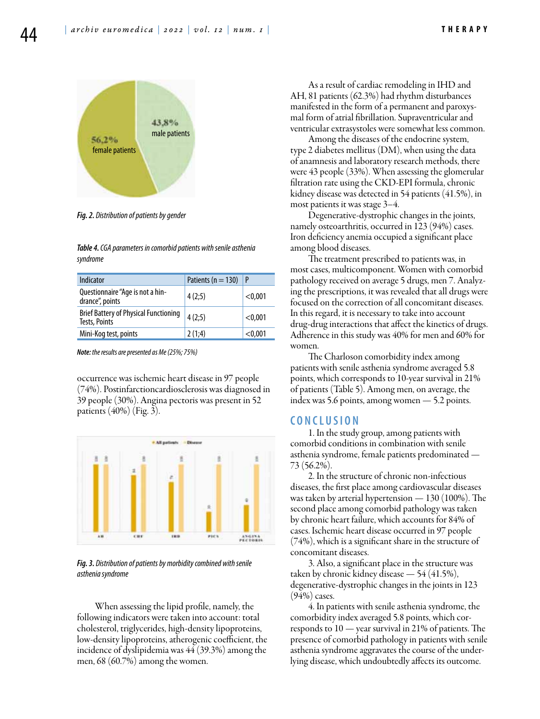

*Fig. 2. Distribution of patients by gender*

*Table 4. CGA parameters in comorbid patients with senile asthenia syndrome*

| Indicator                                                     | Patients ( $n = 130$ ) | P       |
|---------------------------------------------------------------|------------------------|---------|
| Questionnaire "Age is not a hin-<br>drance", points           | 4(2;5)                 | < 0.001 |
| <b>Brief Battery of Physical Functioning</b><br>Tests, Points | 4(2;5)                 | < 0.001 |
| Mini-Kog test, points                                         | 2(1,4)                 | < 0.001 |

*Note: the results are presented as Me (25%; 75%)*

occurrence was ischemic heart disease in 97 people (74%). Postinfarctioncardiosclerosis was diagnosed in 39 people (30%). Angina pectoris was present in 52 patients  $(40\%)$  (Fig. 3).



*Fig. 3. Distribution of patients by morbidity combined with senile asthenia syndrome*

When assessing the lipid profile, namely, the following indicators were taken into account: total cholesterol, triglycerides, high-density lipoproteins, low-density lipoproteins, atherogenic coefficient, the incidence of dyslipidemia was 44 (39.3%) among the men, 68 (60.7%) among the women.

As a result of cardiac remodeling in IHD and AH, 81 patients (62.3%) had rhythm disturbances manifested in the form of a permanent and paroxysmal form of atrial fibrillation. Supraventricular and ventricular extrasystoles were somewhat less common.

Among the diseases of the endocrine system, type 2 diabetes mellitus (DM), when using the data of anamnesis and laboratory research methods, there were 43 people (33%). When assessing the glomerular filtration rate using the CKD-EPI formula, chronic kidney disease was detected in 54 patients (41.5%), in most patients it was stage 3–4.

Degenerative-dystrophic changes in the joints, namely osteoarthritis, occurred in 123 (94%) cases. Iron deficiency anemia occupied a significant place among blood diseases.

The treatment prescribed to patients was, in most cases, multicomponent. Women with comorbid pathology received on average 5 drugs, men 7. Analyzing the prescriptions, it was revealed that all drugs were focused on the correction of all concomitant diseases. In this regard, it is necessary to take into account drug-drug interactions that affect the kinetics of drugs. Adherence in this study was 40% for men and 60% for women.

The Charloson comorbidity index among patients with senile asthenia syndrome averaged 5.8 points, which corresponds to 10-year survival in 21% of patients (Table 5). Among men, on average, the index was 5.6 points, among women — 5.2 points.

## **C ON CLUSION**

1. In the study group, among patients with comorbid conditions in combination with senile asthenia syndrome, female patients predominated — 73 (56.2%).

2. In the structure of chronic non-infectious diseases, the first place among cardiovascular diseases was taken by arterial hypertension — 130 (100%). The second place among comorbid pathology was taken by chronic heart failure, which accounts for 84% of cases. Ischemic heart disease occurred in 97 people (74%), which is a significant share in the structure of concomitant diseases.

3. Also, a significant place in the structure was taken by chronic kidney disease — 54 (41.5%), degenerative-dystrophic changes in the joints in 123 (94%) cases.

4. In patients with senile asthenia syndrome, the comorbidity index averaged 5.8 points, which corresponds to 10 — year survival in 21% of patients. The presence of comorbid pathology in patients with senile asthenia syndrome aggravates the course of the underlying disease, which undoubtedly affects its outcome.